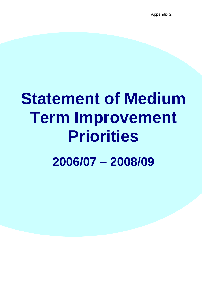# **Statement of Medium Term Improvement Priorities 2006/07 – 2008/09**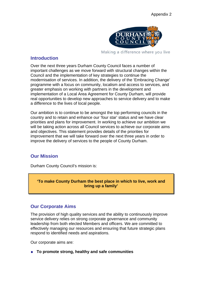

Making a difference where you live

## **Introduction**

Over the next three years Durham County Council faces a number of important challenges as we move forward with structural changes within the Council and the implementation of key strategies to continue the modernisation of services. In addition, the delivery of the 'Embracing Change' programme with a focus on community, localism and access to services, and greater emphasis on working with partners in the development and implementation of a Local Area Agreement for County Durham, will provide real opportunities to develop new approaches to service delivery and to make a difference to the lives of local people.

Our ambition is to continue to be amongst the top performing councils in the country and to retain and enhance our 'four star' status and we have clear priorities and plans for improvement. In working to achieve our ambition we will be taking action across all Council services to achieve our corporate aims and objectives. This statement provides details of the priorities for improvement that we will take forward over the next three years in order to improve the delivery of services to the people of County Durham.

# **Our Mission**

Durham County Council's mission is:

**'To make County Durham the best place in which to live, work and bring up a family'** 

## **Our Corporate Aims**

The provision of high quality services and the ability to continuously improve service delivery relies on strong corporate governance and community leadership from both elected Members and officers. We are committed to effectively managing our resources and ensuring that future strategic plans respond to identified needs and aspirations.

Our corporate aims are:

**To promote strong, healthy and safe communities**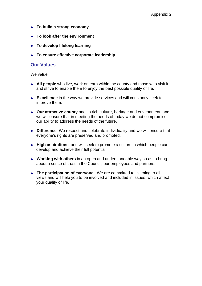- **To build a strong economy**
- **To look after the environment**
- **To develop lifelong learning**
- **To ensure effective corporate leadership**

## **Our Values**

We value:

- **All people** who live, work or learn within the county and those who visit it, and strive to enable them to enjoy the best possible quality of life.
- ◆ **Excellence** in the way we provide services and will constantly seek to improve them.
- **Our attractive county** and its rich culture, heritage and environment, and we will ensure that in meeting the needs of today we do not compromise our ability to address the needs of the future.
- ◆ **Difference**. We respect and celebrate individuality and we will ensure that everyone's rights are preserved and promoted.
- **High aspirations**, and will seek to promote a culture in which people can develop and achieve their full potential.
- **Working with others** in an open and understandable way so as to bring about a sense of trust in the Council, our employees and partners.
- ◆ The participation of evervone. We are committed to listening to all views and will help you to be involved and included in issues, which affect your quality of life.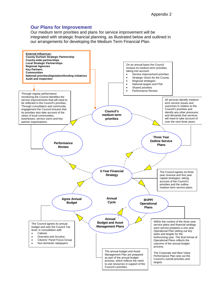## **Our Plans for Improvement**

Our medium term priorities and plans for service improvement will be integrated with strategic financial planning, as illustrated below and outlined in our arrangements for developing the Medium Term Financial Plan.

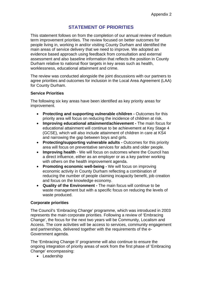## **STATEMENT OF PRIORITIES**

This statement follows on from the completion of our annual review of medium term improvement priorities. The review focused on better outcomes for people living in, working in and/or visiting County Durham and identified the main areas of service delivery that we need to improve. We adopted an evidence based approach using feedback from consultation and external assessment and also baseline information that reflects the position in County Durham relative to national floor targets in key areas such as health, worklessness, educational attainment and crime.

The review was conducted alongside the joint discussions with our partners to agree priorities and outcomes for inclusion in the Local Area Agreement (LAA) for County Durham.

#### **Service Priorities**

The following six key areas have been identified as key priority areas for improvement.

- **Protecting and supporting vulnerable children** Outcomes for this priority area will focus on reducing the incidence of children at risk.
- **Improving educational attainment/achievement** The main focus for educational attainment will continue to be achievement at Key Stage 4 (GCSE), which will also include attainment of children in care at KS4 and narrowing the gap between boys and girls.
- **Protecting/supporting vulnerable adults Outcomes for this priority** area will focus on preventative services for adults and older people.
- **Improving health** We will focus on outcomes where the Council has a direct influence, either as an employer or as a key partner working with others on the health improvement agenda.
- **Promoting economic well-being** We will focus on improving economic activity in County Durham reflecting a combination of reducing the number of people claiming incapacity benefit, job creation and focus on the knowledge economy.
- **Quality of the Environment** The main focus will continue to be waste management but with a specific focus on reducing the levels of waste produced.

#### **Corporate priorities**

The Council's 'Embracing Change' programme, which was introduced in 2003 represents the main corporate priorities. Following a review of 'Embracing Change', the focus for the next two years will be Community, Localism and Access. The core activities will be access to services, community engagement and partnerships, delivered together with the requirements of the e-Government agenda.

The 'Embracing Change II' programme will also continue to ensure the ongoing integration of priority areas of work from the first phase of 'Embracing Change' encompassing:

• Leadership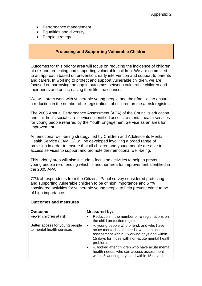- Performance management
- Equalities and diversity
- People strategy

### **Protecting and Supporting Vulnerable Children**

Outcomes for this priority area will focus on reducing the incidence of children at risk and protecting and supporting vulnerable children. We are committed to an approach based on prevention, early intervention and support to parents and carers. In working to protect and support vulnerable children, we are focused on narrowing the gap in outcomes between vulnerable children and their peers and on increasing their lifetime chances.

We will target work with vulnerable young people and their families to ensure a reduction in the number of re-registrations of children on the at-risk register.

The 2005 Annual Performance Assessment (APA) of the Council's education and children's social care services identified access to mental health services for young people referred by the Youth Engagement Service as an area for improvement.

An emotional well-being strategy, led by Children and Adolescents Mental Health Service (CAMHS) will be developed involving a broad range of provision in order to ensure that all children and young people are able to access services to support and promote their emotional well-being.

This priority area will also include a focus on activities to help to prevent young people re-offending which is another area for improvement identified in the 2005 APA.

77% of respondents from the Citizens' Panel survey considered protecting and supporting vulnerable children to be of high importance and 57% considered activities for vulnerable young people to help prevent crime to be of high importance.

#### **Outcomes and measures**

| <b>Outcome</b>                                              | <b>Measured by:</b>                                                                                                                                                                                                                                                                                                                                                     |  |
|-------------------------------------------------------------|-------------------------------------------------------------------------------------------------------------------------------------------------------------------------------------------------------------------------------------------------------------------------------------------------------------------------------------------------------------------------|--|
| Fewer children at risk                                      | Reduction in the number of re-registrations on<br>the child protection register                                                                                                                                                                                                                                                                                         |  |
| Better access for young people<br>to mental health services | % young people who offend, and who have<br>$\bullet$<br>acute mental health needs, who can access<br>assessment within 5 working days and within<br>15 days for those with non-acute mental health<br>problems<br>% looked after children who have acute mental<br>$\bullet$<br>health needs, who can access assessment<br>within 5 working days and within 15 days for |  |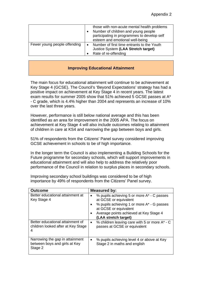|                              | those with non-acute mental health problems<br>Number of children and young people<br>participating in programmes to develop self<br>esteem and emotional well-being |
|------------------------------|----------------------------------------------------------------------------------------------------------------------------------------------------------------------|
| Fewer young people offending | Number of first time entrants to the Youth<br>Justice System (LAA Stretch target)<br>Rate of re-offending                                                            |

#### **Improving Educational Attainment**

The main focus for educational attainment will continue to be achievement at Key Stage 4 (GCSE). The Council's 'Beyond Expectations' strategy has had a positive impact on achievement at Key Stage 4 in recent years. The latest exam results for summer 2005 show that 51% achieved 5 GCSE passes at A\* - C grade, which is 4.4% higher than 2004 and represents an increase of 10% over the last three years.

However, performance is still below national average and this has been identified as an area for improvement in the 2005 APA. The focus on achievement at Key Stage 4 will also include outcomes relating to attainment of children in care at KS4 and narrowing the gap between boys and girls.

51% of respondents from the Citizens' Panel survey considered improving GCSE achievement in schools to be of high importance.

In the longer term the Council is also implementing a Building Schools for the Future programme for secondary schools, which will support improvements in educational attainment and will also help to address the relatively poor performance of the Council in relation to surplus places in secondary schools.

| <b>Outcome</b>                                  | <b>Measured by:</b>                                                                                                                                                                                                       |
|-------------------------------------------------|---------------------------------------------------------------------------------------------------------------------------------------------------------------------------------------------------------------------------|
| Better educational attainment at<br>Key Stage 4 | % pupils achieving 5 or more A* - C passes<br>at GCSE or equivalent<br>% pupils achieving 1 or more A* - G passes<br>$\bullet$<br>at GCSE or equivalent<br>Average points achieved at Key Stage 4<br>(LAA stretch target) |
| Better educational attainment of                | % children leaving care with 5 or more A* - C                                                                                                                                                                             |
| children looked after at Key Stage              | $\bullet$                                                                                                                                                                                                                 |
| 4                                               | passes at GCSE or equivalent                                                                                                                                                                                              |
| Narrowing the gap in attainment                 | % pupils achieving level 4 or above at Key                                                                                                                                                                                |
| between boys and girls at Key                   | $\bullet$                                                                                                                                                                                                                 |
| Stage 2                                         | Stage 2 in maths and english                                                                                                                                                                                              |

Improving secondary school buildings was considered to be of high importance by 49% of respondents from the Citizens' Panel survey.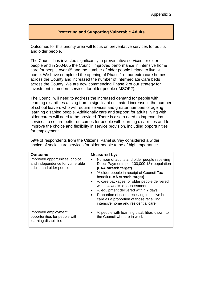### **Protecting and Supporting Vulnerable Adults**

Outcomes for this priority area will focus on preventative services for adults and older people.

The Council has invested significantly in preventative services for older people and in 2004/05 the Council improved performance in intensive home care for people over 65 and the number of older people helped to live at home. We have completed the opening of Phase 1 of our extra care homes across the County and increased the number of Intermediate Care beds across the County. We are now commencing Phase 2 of our strategy for investment in modern services for older people (IMSOP2).

The Council will need to address the increased demand for people with learning disabilities arising from a significant estimated increase in the number of school leavers who will require services and greater numbers of ageing learning disabled people. Additionally care and support for adults living with older carers will need to be provided. There is also a need to improve day services to secure better outcomes for people with learning disabilities and to improve the choice and flexibility in service provision, including opportunities for employment.

| <b>Outcome</b>                                                                               | Measured by:                                                                                                                                                                                                                                                                                                                                                                                                                                                                   |
|----------------------------------------------------------------------------------------------|--------------------------------------------------------------------------------------------------------------------------------------------------------------------------------------------------------------------------------------------------------------------------------------------------------------------------------------------------------------------------------------------------------------------------------------------------------------------------------|
| Improved opportunities, choice<br>and independence for vulnerable<br>adults and older people | Number of adults and older people receiving<br>$\bullet$<br>Direct Payments per 100,000 18+ population<br>(LAA stretch target)<br>% older people in receipt of Council Tax<br>benefit (LAA stretch target)<br>% care packages for older people delivered<br>within 4 weeks of assessment<br>% equipment delivered within 7 days<br>Proportion of users receiving intensive home<br>$\bullet$<br>care as a proportion of those receiving<br>intensive home and residential care |
| Improved employment<br>opportunities for people with<br>learning disabilities                | % people with learning disabilities known to<br>the Council who are in work                                                                                                                                                                                                                                                                                                                                                                                                    |

59% of respondents from the Citizens' Panel survey considered a wider choice of social care services for older people to be of high importance.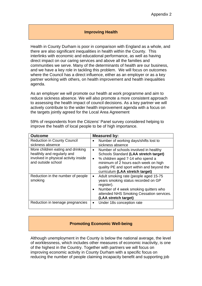#### **Improving Health**

Health in County Durham is poor in comparison with England as a whole, and there are also significant inequalities in health within the County. This interlinks with economic and educational performance, as well as having direct impact on our caring services and above all the families and communities we serve. Many of the determinants of health are our business, and we have a key role in tackling this problem. We will focus on outcomes where the Council has a direct influence, either as an employer or as a key partner working with others, on health improvement and health inequalities agenda.

As an employer we will promote our health at work programme and aim to reduce sickness absence. We will also promote a more consistent approach to assessing the health impact of council decisions. As a key partner we will actively contribute to the wider health improvement agenda with a focus on the targets jointly agreed for the Local Area Agreement

| <b>Outcome</b>                                                                                                                 | Measured by:                                                                                                                                                                                                                                                          |
|--------------------------------------------------------------------------------------------------------------------------------|-----------------------------------------------------------------------------------------------------------------------------------------------------------------------------------------------------------------------------------------------------------------------|
| <b>Reduction in County Council</b><br>sickness absence                                                                         | Number of working days/shifts lost to<br>٠<br>sickness absence                                                                                                                                                                                                        |
| More children eating and drinking<br>healthily and regularly and<br>involved in physical activity inside<br>and outside school | Number of schools involved in healthy<br>$\bullet$<br>Schools Standard (LAA stretch target)<br>% children aged 7-14 who spend a<br>$\bullet$<br>minimum of 2 hours each week on high<br>quality PE and sport within and beyond the<br>curriculum (LAA stretch target) |
| Reduction in the number of people<br>smoking                                                                                   | Adult smoking rate (people aged 15-75<br>$\bullet$<br>years smoking status recorded on GP<br>register).<br>Number of 4 week smoking quitters who<br>$\bullet$<br>attended NHS Smoking Cessation services.<br>(LAA stretch target)                                     |
| Reduction in teenage pregnancies                                                                                               | Under 18s conception rate<br>٠                                                                                                                                                                                                                                        |

59% of respondents from the Citizens' Panel survey considered helping to improve the health of local people to be of high importance.

#### **Promoting Economic Well-being**

Although unemployment in the County is below the national average, the level of worklessness, which includes other measures of economic inactivity, is one of the highest in the Country. Together with partners we will focus on improving economic activity in County Durham with a specific focus on reducing the number of people claiming incapacity benefit and supporting job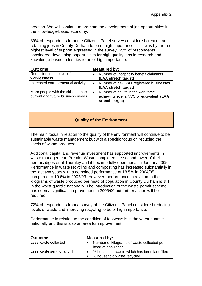creation. We will continue to promote the development of job opportunities in the knowledge-based economy.

89% of respondents from the Citizens' Panel survey considered creating and retaining jobs in County Durham to be of high importance. This was by far the highest level of support expressed in the survey. 55% of respondents considered developing opportunities for high quality jobs in research and knowledge-based industries to be of high importance.

| <b>Outcome</b>                                                           | Measured by:                                                                                                  |
|--------------------------------------------------------------------------|---------------------------------------------------------------------------------------------------------------|
| Reduction in the level of<br>worklessness                                | Number of incapacity benefit claimants<br>(LAA stretch target)                                                |
| Increased entrepreneurial activity                                       | Number of new VAT registered businesses<br>$\bullet$<br>(LAA stretch target)                                  |
| More people with the skills to meet<br>current and future business needs | Number of adults in the workforce<br>$\bullet$<br>achieving level 2 NVQ or equivalent (LAA<br>stretch target) |

### **Quality of the Environment**

The main focus in relation to the quality of the environment will continue to be sustainable waste management but with a specific focus on reducing the levels of waste produced.

Additional capital and revenue investment has supported improvements in waste management. Premier Waste completed the second tower of their aerobic digester at Thornley and it became fully operational in January 2005. Performance in waste recycling and composting has increased substantially in the last two years with a combined performance of 18.5% in 2004/05 compared to 10.6% in 2002/03. However, performance in relation to the kilograms of waste produced per head of population in County Durham is still in the worst quartile nationally. The introduction of the waste permit scheme has seen a significant improvement in 2005/06 but further action will be required.

72% of respondents from a survey of the Citizens' Panel considered reducing levels of waste and improving recycling to be of high importance.

Performance in relation to the condition of footways is in the worst quartile nationally and this is also an area for improvement.

| <b>Outcome</b>              | Measured by:                                                              |  |
|-----------------------------|---------------------------------------------------------------------------|--|
| Less waste collected        | Number of kilograms of waste collected per<br>head of population          |  |
| Less waste sent to landfill | % household waste which has been landfilled<br>% household waste recycled |  |